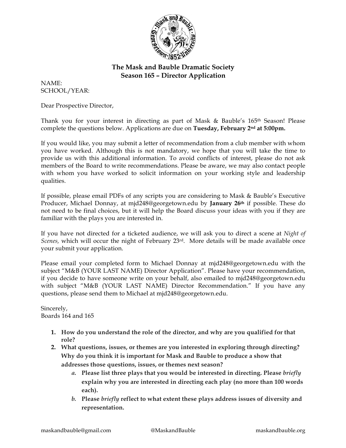

## **The Mask and Bauble Dramatic Society Season 165 – Director Application**

NAME: SCHOOL/YEAR:

Dear Prospective Director,

Thank you for your interest in directing as part of Mask & Bauble's 165th Season! Please complete the questions below. Applications are due on **Tuesday, February 2nd at 5:00pm.**

If you would like, you may submit a letter of recommendation from a club member with whom you have worked. Although this is not mandatory, we hope that you will take the time to provide us with this additional information. To avoid conflicts of interest, please do not ask members of the Board to write recommendations. Please be aware, we may also contact people with whom you have worked to solicit information on your working style and leadership qualities.

If possible, please email PDFs of any scripts you are considering to Mask & Bauble's Executive Producer, Michael Donnay, at mjd248@georgetown.edu by **January 26th** if possible. These do not need to be final choices, but it will help the Board discuss your ideas with you if they are familiar with the plays you are interested in.

If you have not directed for a ticketed audience, we will ask you to direct a scene at *Night of Scenes,* which will occur the night of February 23rd. More details will be made available once your submit your application.

Please email your completed form to Michael Donnay at mjd248@georgetown.edu with the subject "M&B (YOUR LAST NAME) Director Application". Please have your recommendation, if you decide to have someone write on your behalf, also emailed to mjd248@georgetown.edu with subject "M&B (YOUR LAST NAME) Director Recommendation." If you have any questions, please send them to Michael at mjd248@georgetown.edu.

Sincerely, Boards 164 and 165

- **1. How do you understand the role of the director, and why are you qualified for that role?**
- **2. What questions, issues, or themes are you interested in exploring through directing? Why do you think it is important for Mask and Bauble to produce a show that addresses those questions, issues, or themes next season?**
	- *a.* **Please list three plays that you would be interested in directing. Please** *briefly* **explain why you are interested in directing each play (no more than 100 words each).**
	- *b.* **Please** *briefly* **reflect to what extent these plays address issues of diversity and representation.**